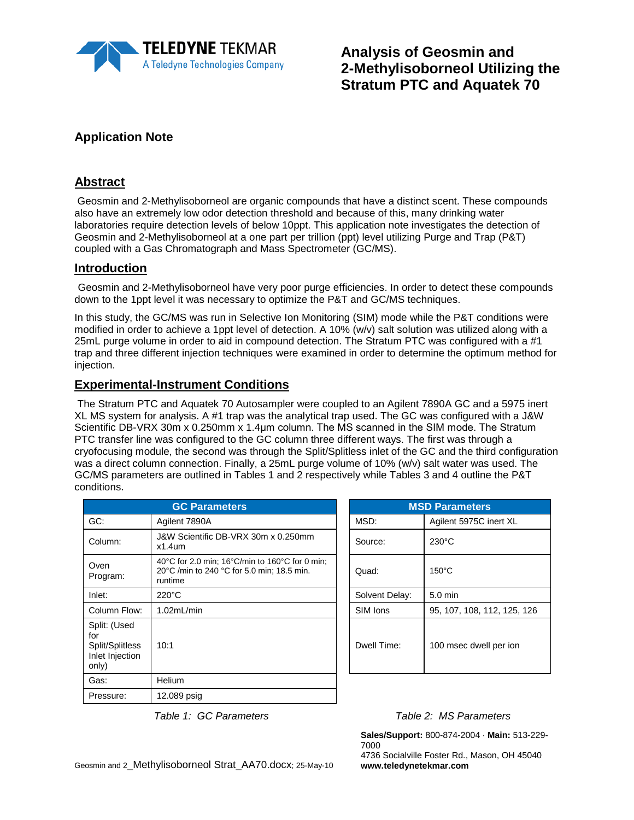

**Analysis of Geosmin and 2-Methylisoborneol Utilizing the Stratum PTC and Aquatek 70**

# **Application Note**

### **Abstract**

Geosmin and 2-Methylisoborneol are organic compounds that have a distinct scent. These compounds also have an extremely low odor detection threshold and because of this, many drinking water laboratories require detection levels of below 10ppt. This application note investigates the detection of Geosmin and 2-Methylisoborneol at a one part per trillion (ppt) level utilizing Purge and Trap (P&T) coupled with a Gas Chromatograph and Mass Spectrometer (GC/MS).

### **Introduction**

Geosmin and 2-Methylisoborneol have very poor purge efficiencies. In order to detect these compounds down to the 1ppt level it was necessary to optimize the P&T and GC/MS techniques.

In this study, the GC/MS was run in Selective Ion Monitoring (SIM) mode while the P&T conditions were modified in order to achieve a 1ppt level of detection. A 10% (w/v) salt solution was utilized along with a 25mL purge volume in order to aid in compound detection. The Stratum PTC was configured with a #1 trap and three different injection techniques were examined in order to determine the optimum method for injection.

#### **Experimental-Instrument Conditions**

The Stratum PTC and Aquatek 70 Autosampler were coupled to an Agilent 7890A GC and a 5975 inert XL MS system for analysis. A #1 trap was the analytical trap used. The GC was configured with a J&W Scientific DB-VRX 30m x 0.250mm x 1.4μm column. The MS scanned in the SIM mode. The Stratum PTC transfer line was configured to the GC column three different ways. The first was through a cryofocusing module, the second was through the Split/Splitless inlet of the GC and the third configuration was a direct column connection. Finally, a 25mL purge volume of 10% (w/v) salt water was used. The GC/MS parameters are outlined in Tables 1 and 2 respectively while Tables 3 and 4 outline the P&T conditions.

|                                                                    | <b>GC Parameters</b>                                                                                                                  |                | <b>MSD Parameters</b>       |
|--------------------------------------------------------------------|---------------------------------------------------------------------------------------------------------------------------------------|----------------|-----------------------------|
| GC:                                                                | Agilent 7890A                                                                                                                         | MSD:           | Agilent 5975C inert XL      |
| Column:                                                            | J&W Scientific DB-VRX 30m x 0.250mm<br>$x1.4$ um                                                                                      | Source:        | $230^{\circ}$ C             |
| Oven<br>Program:                                                   | 40 $\degree$ C for 2.0 min; 16 $\degree$ C/min to 160 $\degree$ C for 0 min;<br>20°C /min to 240 °C for 5.0 min; 18.5 min.<br>runtime | Quad:          | $150^{\circ}$ C             |
| Inlet:                                                             | $220^{\circ}$ C                                                                                                                       | Solvent Delay: | $5.0$ min                   |
| Column Flow:                                                       | 1.02mL/min                                                                                                                            | SIM Ions       | 95, 107, 108, 112, 125, 126 |
| Split: (Used<br>for<br>Split/Splitless<br>Inlet Injection<br>only) | 10:1                                                                                                                                  | Dwell Time:    | 100 msec dwell per ion      |
| Gas:                                                               | <b>Helium</b>                                                                                                                         |                |                             |
| Pressure:                                                          | 12.089 psig                                                                                                                           |                |                             |

| <b>MSD Parameters</b> |                             |  |  |  |  |
|-----------------------|-----------------------------|--|--|--|--|
| MSD:                  | Agilent 5975C inert XL      |  |  |  |  |
| Source:               | $230^{\circ}$ C             |  |  |  |  |
| Quad:                 | $150^{\circ}$ C             |  |  |  |  |
| Solvent Delay:        | 5.0 min                     |  |  |  |  |
| SIM Ions              | 95, 107, 108, 112, 125, 126 |  |  |  |  |
| Dwell Time:           | 100 msec dwell per ion      |  |  |  |  |

**Sales/Support:** 800-874-2004 · **Main:** 513-229- 7000

4736 Socialville Foster Rd., Mason, OH 45040 **www.teledynetekmar.com**

 *Table 1: GC Parameters Table 2: MS Parameters*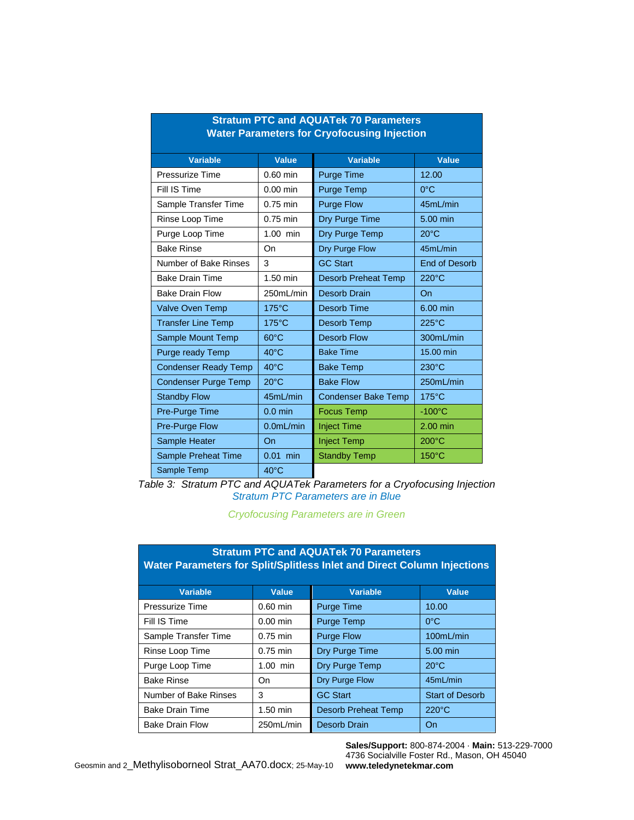| Stratum PTC and AQUATek 70 Parameters<br><b>Water Parameters for Cryofocusing Injection</b> |                        |                            |                      |  |  |  |  |
|---------------------------------------------------------------------------------------------|------------------------|----------------------------|----------------------|--|--|--|--|
| <b>Variable</b>                                                                             | <b>Value</b>           | <b>Variable</b>            | <b>Value</b>         |  |  |  |  |
| Pressurize Time                                                                             | 0.60 min               | <b>Purge Time</b>          | 12.00                |  |  |  |  |
| Fill IS Time                                                                                | $0.00$ min             | Purge Temp                 | $0^{\circ}$ C        |  |  |  |  |
| Sample Transfer Time                                                                        | $0.75$ min             | <b>Purge Flow</b>          | 45mL/min             |  |  |  |  |
| Rinse Loop Time                                                                             | $0.75$ min             | Dry Purge Time             | 5.00 min             |  |  |  |  |
| Purge Loop Time                                                                             | 1.00 min               | Dry Purge Temp             | $20^{\circ}$ C       |  |  |  |  |
| <b>Bake Rinse</b>                                                                           | <b>On</b>              | Dry Purge Flow             | 45mL/min             |  |  |  |  |
| Number of Bake Rinses                                                                       | 3                      | <b>GC Start</b>            | <b>End of Desorb</b> |  |  |  |  |
| <b>Bake Drain Time</b>                                                                      | 1.50 min               | <b>Desorb Preheat Temp</b> | $220^{\circ}$ C      |  |  |  |  |
| <b>Bake Drain Flow</b>                                                                      | 250mL/min              | <b>Desorb Drain</b>        | On                   |  |  |  |  |
| Valve Oven Temp                                                                             | $175^{\circ}$ C        | <b>Desorb Time</b>         | 6.00 min             |  |  |  |  |
| <b>Transfer Line Temp</b>                                                                   | 175°C                  | Desorb Temp                | $225^{\circ}$ C      |  |  |  |  |
| Sample Mount Temp                                                                           | $60^{\circ}$ C         | <b>Desorb Flow</b>         | 300mL/min            |  |  |  |  |
| Purge ready Temp                                                                            | $40^{\circ}$ C         | <b>Bake Time</b>           | 15.00 min            |  |  |  |  |
| <b>Condenser Ready Temp</b>                                                                 | $40^{\circ}$ C         | <b>Bake Temp</b>           | $230^{\circ}$ C      |  |  |  |  |
| Condenser Purge Temp                                                                        | $20^{\circ}$ C         | <b>Bake Flow</b>           | 250mL/min            |  |  |  |  |
| <b>Standby Flow</b>                                                                         | 45mL/min               | <b>Condenser Bake Temp</b> | $175^{\circ}$ C      |  |  |  |  |
| Pre-Purge Time                                                                              | $0.0$ min              | <b>Focus Temp</b>          | $-100^{\circ}$ C     |  |  |  |  |
| Pre-Purge Flow                                                                              | 0.0 <sub>m</sub> L/min | <b>Inject Time</b>         | 2.00 min             |  |  |  |  |
| Sample Heater                                                                               | On                     | <b>Inject Temp</b>         | $200^{\circ}$ C      |  |  |  |  |
| Sample Preheat Time                                                                         | $0.01$ min             | <b>Standby Temp</b>        | 150°C                |  |  |  |  |
| Sample Temp                                                                                 | $40^{\circ}$ C         |                            |                      |  |  |  |  |

# **Stratum PTC and AQUATek 70 Parameters**

*Table 3: Stratum PTC and AQUATek Parameters for a Cryofocusing Injection Stratum PTC Parameters are in Blue*

*Cryofocusing Parameters are in Green*

| <b>Stratum PTC and AQUATek 70 Parameters</b><br>Water Parameters for Split/Splitless Inlet and Direct Column Injections |              |                            |                        |  |  |  |  |
|-------------------------------------------------------------------------------------------------------------------------|--------------|----------------------------|------------------------|--|--|--|--|
| <b>Variable</b>                                                                                                         | <b>Value</b> | <b>Variable</b>            | Value                  |  |  |  |  |
| Pressurize Time                                                                                                         | $0.60$ min   | <b>Purge Time</b>          | 10.00                  |  |  |  |  |
| Fill IS Time                                                                                                            | $0.00$ min   | <b>Purge Temp</b>          | $0^{\circ}$ C          |  |  |  |  |
| Sample Transfer Time                                                                                                    | $0.75$ min   | <b>Purge Flow</b>          | 100mL/min              |  |  |  |  |
| Rinse Loop Time                                                                                                         | $0.75$ min   | Dry Purge Time             | 5.00 min               |  |  |  |  |
| Purge Loop Time                                                                                                         | $1.00$ min   | Dry Purge Temp             | $20^{\circ}$ C         |  |  |  |  |
| <b>Bake Rinse</b>                                                                                                       | On           | <b>Dry Purge Flow</b>      | 45mL/min               |  |  |  |  |
| Number of Bake Rinses                                                                                                   | 3            | <b>GC Start</b>            | <b>Start of Desorb</b> |  |  |  |  |
| <b>Bake Drain Time</b>                                                                                                  | $1.50$ min   | <b>Desorb Preheat Temp</b> | $220^{\circ}$ C        |  |  |  |  |
| <b>Bake Drain Flow</b>                                                                                                  | 250mL/min    | <b>Desorb Drain</b>        | On                     |  |  |  |  |

**Sales/Support:** 800-874-2004 · **Main:** 513-229-7000 4736 Socialville Foster Rd., Mason, OH 45040 **www.teledynetekmar.com**

Geosmin and 2\_Methylisoborneol Strat\_AA70.docx; 25-May-10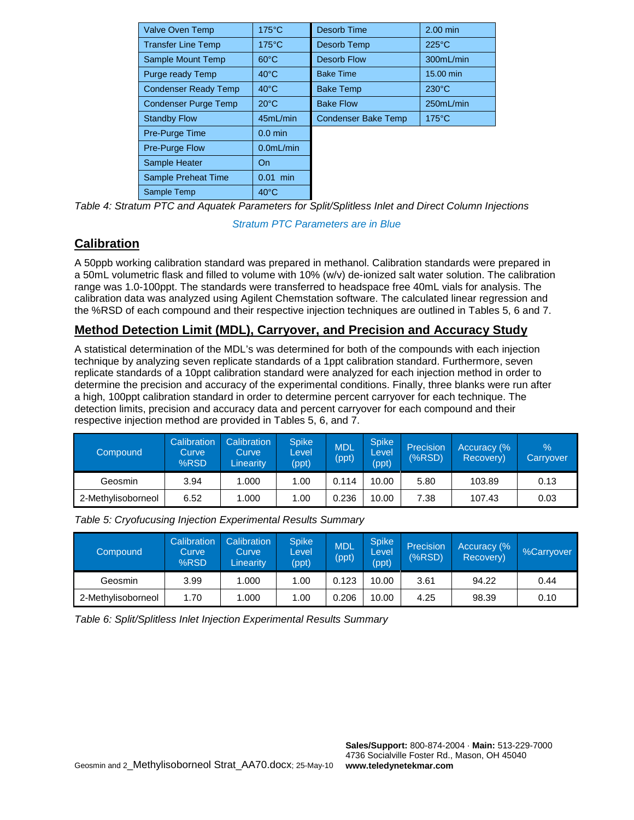| Valve Oven Temp             | $175^{\circ}$ C | Desorb Time                | 2.00 min        |
|-----------------------------|-----------------|----------------------------|-----------------|
| <b>Transfer Line Temp</b>   | $175^{\circ}$ C | Desorb Temp                | $225^{\circ}$ C |
| Sample Mount Temp           | $60^{\circ}$ C  | <b>Desorb Flow</b>         | 300mL/min       |
| Purge ready Temp            | $40^{\circ}$ C  | <b>Bake Time</b>           | 15.00 min       |
| <b>Condenser Ready Temp</b> | $40^{\circ}$ C  | <b>Bake Temp</b>           | $230^{\circ}$ C |
| <b>Condenser Purge Temp</b> | $20^{\circ}$ C  | <b>Bake Flow</b>           | 250mL/min       |
| <b>Standby Flow</b>         | 45mL/min        | <b>Condenser Bake Temp</b> | $175^{\circ}$ C |
| Pre-Purge Time              | $0.0$ min       |                            |                 |
| <b>Pre-Purge Flow</b>       | $0.0$ mL/min    |                            |                 |
| Sample Heater               | On              |                            |                 |
| Sample Preheat Time         | $0.01$ min      |                            |                 |
| Sample Temp                 | $40^{\circ}$ C  |                            |                 |

*Table 4: Stratum PTC and Aquatek Parameters for Split/Splitless Inlet and Direct Column Injections* 

*Stratum PTC Parameters are in Blue*

# **Calibration**

A 50ppb working calibration standard was prepared in methanol. Calibration standards were prepared in a 50mL volumetric flask and filled to volume with 10% (w/v) de-ionized salt water solution. The calibration range was 1.0-100ppt. The standards were transferred to headspace free 40mL vials for analysis. The calibration data was analyzed using Agilent Chemstation software. The calculated linear regression and the %RSD of each compound and their respective injection techniques are outlined in Tables 5, 6 and 7.

# **Method Detection Limit (MDL), Carryover, and Precision and Accuracy Study**

A statistical determination of the MDL's was determined for both of the compounds with each injection technique by analyzing seven replicate standards of a 1ppt calibration standard. Furthermore, seven replicate standards of a 10ppt calibration standard were analyzed for each injection method in order to determine the precision and accuracy of the experimental conditions. Finally, three blanks were run after a high, 100ppt calibration standard in order to determine percent carryover for each technique. The detection limits, precision and accuracy data and percent carryover for each compound and their respective injection method are provided in Tables 5, 6, and 7.

| Compound           | Calibration<br>Curve<br>%RSD | Calibration<br>Curve<br>Linearitv | <b>Spike</b><br>Level<br>(ppt) | <b>MDL</b><br>(ppt) | <b>Spike</b><br>Level<br>(ppt) | Precision<br>(%RSD) | Accuracy (%<br>Recovery) | $\frac{9}{6}$<br>Carryover |
|--------------------|------------------------------|-----------------------------------|--------------------------------|---------------------|--------------------------------|---------------------|--------------------------|----------------------------|
| Geosmin            | 3.94                         | 1.000                             | 1.00                           | 0.114               | 10.00                          | 5.80                | 103.89                   | 0.13                       |
| 2-Methylisoborneol | 6.52                         | 1.000                             | 1.00                           | 0.236               | 10.00                          | 7.38                | 107.43                   | 0.03                       |

| Compound           | Calibration<br>Curve<br>%RSD | Calibration<br>Curve<br>Linearity | Spike<br>Level<br>(ppt) | <b>MDL</b><br>(ppt) | <b>Spike</b><br>Level<br>(ppt) | Precision<br>(%RSD) | Accuracy (%<br>Recovery) | %Carryover |
|--------------------|------------------------------|-----------------------------------|-------------------------|---------------------|--------------------------------|---------------------|--------------------------|------------|
| Geosmin            | 3.99                         | 1.000                             | 1.00                    | 0.123               | 10.00                          | 3.61                | 94.22                    | 0.44       |
| 2-Methylisoborneol | 1.70                         | 1.000                             | 1.00                    | 0.206               | 10.00                          | 4.25                | 98.39                    | 0.10       |

*Table 5: Cryofucusing Injection Experimental Results Summary*

*Table 6: Split/Splitless Inlet Injection Experimental Results Summary*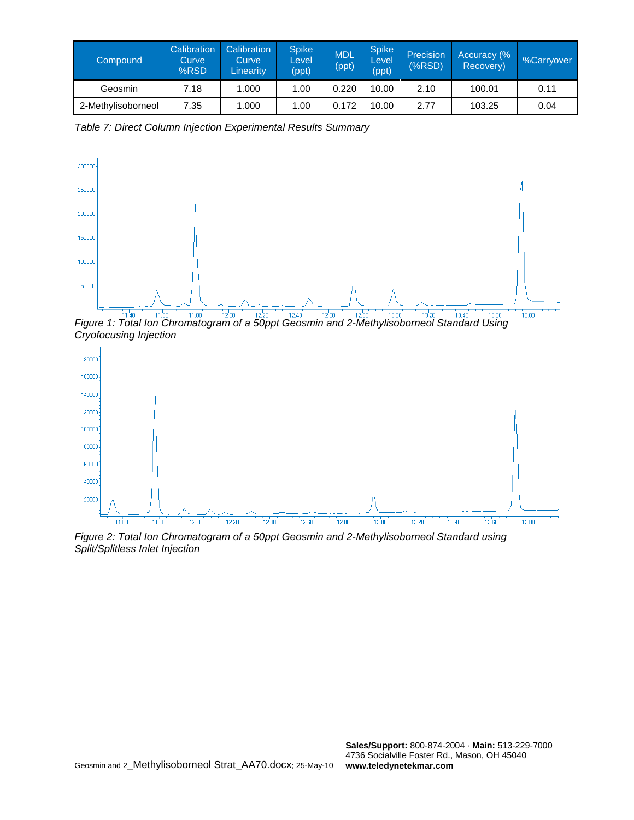| Compound           | Calibration<br>Curve<br>%RSD | Calibration<br>Curve<br><b>Linearity</b> | <b>Spike</b><br>Level<br>(ppt) | <b>MDL</b><br>(ppt) | <b>Spike</b><br>Level<br>(ppt) | Precision<br>(%RSD) | Accuracy (%<br>Recovery) | %Carryover |
|--------------------|------------------------------|------------------------------------------|--------------------------------|---------------------|--------------------------------|---------------------|--------------------------|------------|
| Geosmin            | 7.18                         | 1.000                                    | 1.00                           | 0.220               | 10.00                          | 2.10                | 100.01                   | 0.11       |
| 2-Methylisoborneol | 7.35                         | 1.000                                    | 1.00                           | 0.172               | 10.00                          | 2.77                | 103.25                   | 0.04       |

*Table 7: Direct Column Injection Experimental Results Summary*



*Figure 1: Total Ion Chromatogram of a 50ppt Geosmin and 2-Methylisoborneol Standard Using Cryofocusing Injection*



*Figure 2: Total Ion Chromatogram of a 50ppt Geosmin and 2-Methylisoborneol Standard using Split/Splitless Inlet Injection*